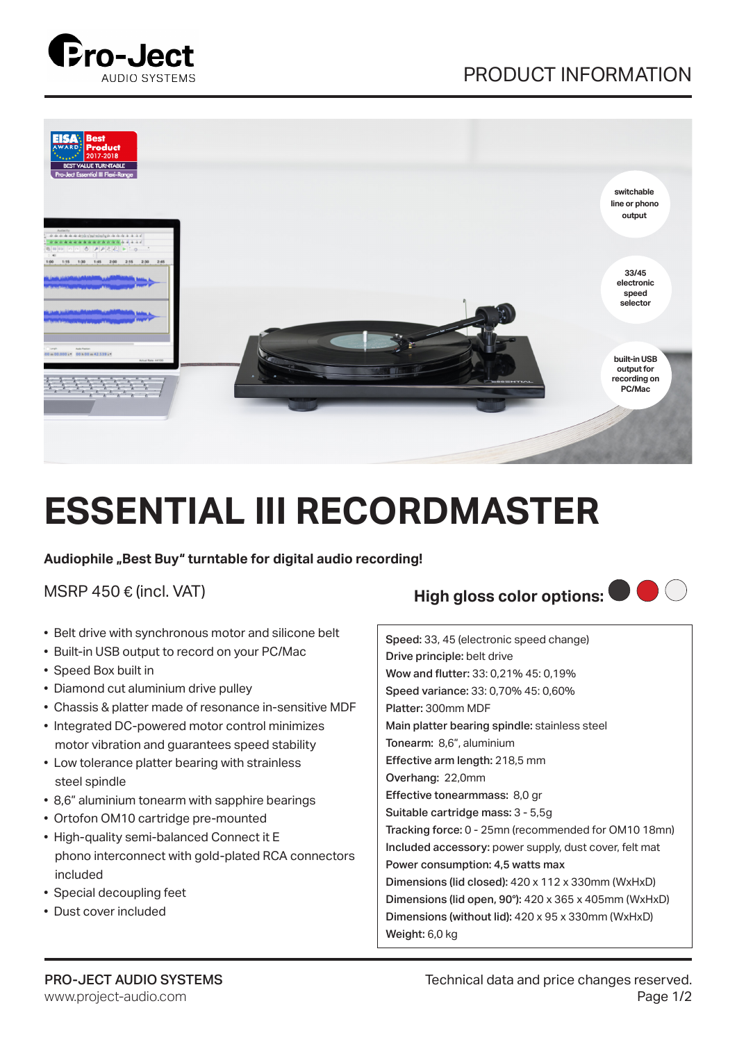





## **ESSENTIAL III RECORDMASTER**

Audiophile "Best Buy" turntable for digital audio recording!

- � Belt drive with synchronous motor and silicone belt
- Built-in USB output to record on your PC/Mac
- Speed Box built in
- Diamond cut aluminium drive pulley
- Chassis & platter made of resonance in-sensitive MDF
- Integrated DC-powered motor control minimizes motor vibration and guarantees speed stability
- Low tolerance platter bearing with strainless steel spindle
- 8,6" aluminium tonearm with sapphire bearings
- Ortofon OM10 cartridge pre-mounted
- High-quality semi-balanced Connect it E phono interconnect with gold-plated RCA connectors included
- Special decoupling feet
- Dust cover included

## MSRP 450 € (incl. VAT) **High gloss color options: ●**



Speed: 33, 45 (electronic speed change) Drive principle: belt drive Wow and flutter: 33: 0,21% 45: 0,19% Speed variance: 33: 0,70% 45: 0,60% Platter: 300mm MDF Main platter bearing spindle: stainless steel Tonearm: 8,6", aluminium Effective arm length: 218,5 mm Overhang: 22,0mm Effective tonearmmass: 8,0 gr Suitable cartridge mass: 3 - 5,5g Tracking force: 0 - 25mn (recommended for OM10 18mn) Included accessory: power supply, dust cover, felt mat Power consumption: 4,5 watts max Dimensions (lid closed): 420 x 112 x 330mm (WxHxD) Dimensions (lid open, 90°): 420 x 365 x 405mm (WxHxD) Dimensions (without lid): 420 x 95 x 330mm (WxHxD) Weight: 6,0 kg